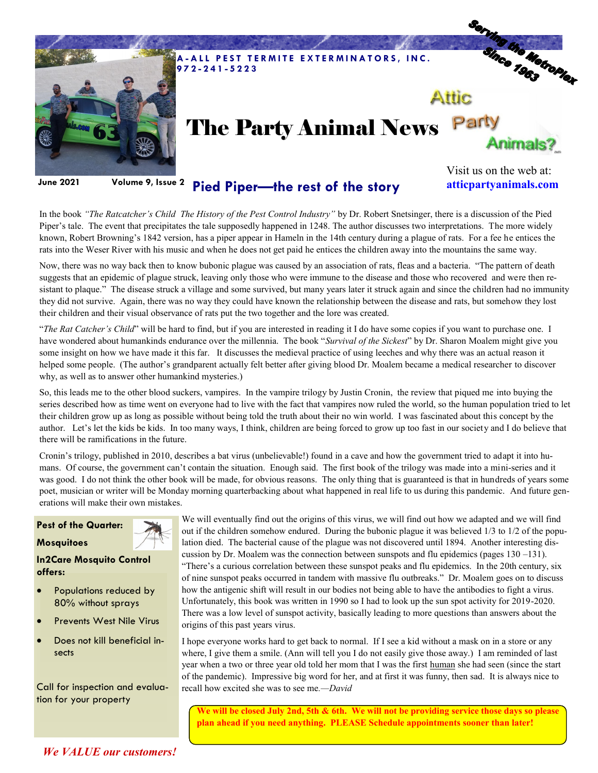

## **Pied Piper—the rest of the story June 2021 Volume 9, Issue 2**

Visit us on the web at: **atticpartyanimals.com**

In the book *"The Ratcatcher's Child The History of the Pest Control Industry"* by Dr. Robert Snetsinger, there is a discussion of the Pied Piper's tale. The event that precipitates the tale supposedly happened in 1248. The author discusses two interpretations. The more widely known, Robert Browning's 1842 version, has a piper appear in Hameln in the 14th century during a plague of rats. For a fee he entices the rats into the Weser River with his music and when he does not get paid he entices the children away into the mountains the same way.

Now, there was no way back then to know bubonic plague was caused by an association of rats, fleas and a bacteria. "The pattern of death suggests that an epidemic of plague struck, leaving only those who were immune to the disease and those who recovered and were then resistant to plaque." The disease struck a village and some survived, but many years later it struck again and since the children had no immunity they did not survive. Again, there was no way they could have known the relationship between the disease and rats, but somehow they lost their children and their visual observance of rats put the two together and the lore was created.

"*The Rat Catcher's Child*" will be hard to find, but if you are interested in reading it I do have some copies if you want to purchase one. I have wondered about humankinds endurance over the millennia. The book "*Survival of the Sickest*" by Dr. Sharon Moalem might give you some insight on how we have made it this far. It discusses the medieval practice of using leeches and why there was an actual reason it helped some people. (The author's grandparent actually felt better after giving blood Dr. Moalem became a medical researcher to discover why, as well as to answer other humankind mysteries.)

So, this leads me to the other blood suckers, vampires. In the vampire trilogy by Justin Cronin, the review that piqued me into buying the series described how as time went on everyone had to live with the fact that vampires now ruled the world, so the human population tried to let their children grow up as long as possible without being told the truth about their no win world. I was fascinated about this concept by the author. Let's let the kids be kids. In too many ways, I think, children are being forced to grow up too fast in our society and I do believe that there will be ramifications in the future.

Cronin's trilogy, published in 2010, describes a bat virus (unbelievable!) found in a cave and how the government tried to adapt it into humans. Of course, the government can't contain the situation. Enough said. The first book of the trilogy was made into a mini-series and it was good. I do not think the other book will be made, for obvious reasons. The only thing that is guaranteed is that in hundreds of years some poet, musician or writer will be Monday morning quarterbacking about what happened in real life to us during this pandemic. And future generations will make their own mistakes.

## **Pest of the Quarter:**





**In2Care Mosquito Control offers:** 

- Populations reduced by 80% without sprays
- Prevents West Nile Virus
- Does not kill beneficial insects

Call for inspection and evaluation for your property

We will eventually find out the origins of this virus, we will find out how we adapted and we will find out if the children somehow endured. During the bubonic plague it was believed 1/3 to 1/2 of the population died. The bacterial cause of the plague was not discovered until 1894. Another interesting discussion by Dr. Moalem was the connection between sunspots and flu epidemics (pages 130 –131). "There's a curious correlation between these sunspot peaks and flu epidemics. In the 20th century, six of nine sunspot peaks occurred in tandem with massive flu outbreaks." Dr. Moalem goes on to discuss how the antigenic shift will result in our bodies not being able to have the antibodies to fight a virus. Unfortunately, this book was written in 1990 so I had to look up the sun spot activity for 2019-2020. There was a low level of sunspot activity, basically leading to more questions than answers about the origins of this past years virus.

I hope everyone works hard to get back to normal. If I see a kid without a mask on in a store or any where, I give them a smile. (Ann will tell you I do not easily give those away.) I am reminded of last year when a two or three year old told her mom that I was the first human she had seen (since the start of the pandemic). Impressive big word for her, and at first it was funny, then sad. It is always nice to recall how excited she was to see me*.—David*

**We will be closed July 2nd, 5th & 6th. We will not be providing service those days so please plan ahead if you need anything. PLEASE Schedule appointments sooner than later!**